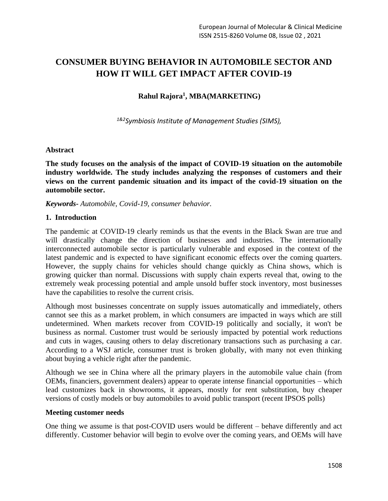# **CONSUMER BUYING BEHAVIOR IN AUTOMOBILE SECTOR AND HOW IT WILL GET IMPACT AFTER COVID-19**

## **Rahul Rajora<sup>1</sup> , MBA(MARKETING)**

*1&2Symbiosis Institute of Management Studies (SIMS),*

#### **Abstract**

**The study focuses on the analysis of the impact of COVID-19 situation on the automobile industry worldwide. The study includes analyzing the responses of customers and their views on the current pandemic situation and its impact of the covid-19 situation on the automobile sector.**

*Keywords- Automobile, Covid-19, consumer behavior.*

#### **1. Introduction**

The pandemic at COVID-19 clearly reminds us that the events in the Black Swan are true and will drastically change the direction of businesses and industries. The internationally interconnected automobile sector is particularly vulnerable and exposed in the context of the latest pandemic and is expected to have significant economic effects over the coming quarters. However, the supply chains for vehicles should change quickly as China shows, which is growing quicker than normal. Discussions with supply chain experts reveal that, owing to the extremely weak processing potential and ample unsold buffer stock inventory, most businesses have the capabilities to resolve the current crisis.

Although most businesses concentrate on supply issues automatically and immediately, others cannot see this as a market problem, in which consumers are impacted in ways which are still undetermined. When markets recover from COVID-19 politically and socially, it won't be business as normal. Customer trust would be seriously impacted by potential work reductions and cuts in wages, causing others to delay discretionary transactions such as purchasing a car. According to a WSJ article, consumer trust is broken globally, with many not even thinking about buying a vehicle right after the pandemic.

Although we see in China where all the primary players in the automobile value chain (from OEMs, financiers, government dealers) appear to operate intense financial opportunities – which lead customizes back in showrooms, it appears, mostly for rent substitution, buy cheaper versions of costly models or buy automobiles to avoid public transport (recent IPSOS polls)

#### **Meeting customer needs**

One thing we assume is that post-COVID users would be different – behave differently and act differently. Customer behavior will begin to evolve over the coming years, and OEMs will have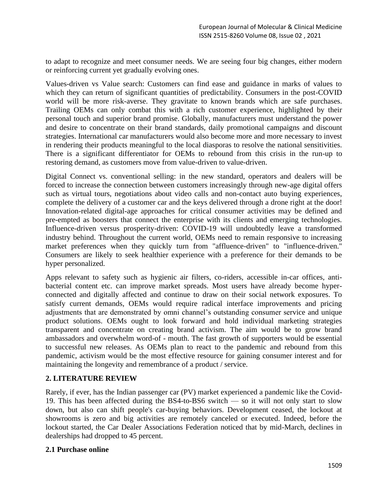to adapt to recognize and meet consumer needs. We are seeing four big changes, either modern or reinforcing current yet gradually evolving ones.

Values-driven vs Value search: Customers can find ease and guidance in marks of values to which they can return of significant quantities of predictability. Consumers in the post-COVID world will be more risk-averse. They gravitate to known brands which are safe purchases. Trailing OEMs can only combat this with a rich customer experience, highlighted by their personal touch and superior brand promise. Globally, manufacturers must understand the power and desire to concentrate on their brand standards, daily promotional campaigns and discount strategies. International car manufacturers would also become more and more necessary to invest in rendering their products meaningful to the local diasporas to resolve the national sensitivities. There is a significant differentiator for OEMs to rebound from this crisis in the run-up to restoring demand, as customers move from value-driven to value-driven.

Digital Connect vs. conventional selling: in the new standard, operators and dealers will be forced to increase the connection between customers increasingly through new-age digital offers such as virtual tours, negotiations about video calls and non-contact auto buying experiences, complete the delivery of a customer car and the keys delivered through a drone right at the door! Innovation-related digital-age approaches for critical consumer activities may be defined and pre-empted as boosters that connect the enterprise with its clients and emerging technologies. Influence-driven versus prosperity-driven: COVID-19 will undoubtedly leave a transformed industry behind. Throughout the current world, OEMs need to remain responsive to increasing market preferences when they quickly turn from "affluence-driven" to "influence-driven." Consumers are likely to seek healthier experience with a preference for their demands to be hyper personalized.

Apps relevant to safety such as hygienic air filters, co-riders, accessible in-car offices, antibacterial content etc. can improve market spreads. Most users have already become hyperconnected and digitally affected and continue to draw on their social network exposures. To satisfy current demands, OEMs would require radical interface improvements and pricing adjustments that are demonstrated by omni channel's outstanding consumer service and unique product solutions. OEMs ought to look forward and hold individual marketing strategies transparent and concentrate on creating brand activism. The aim would be to grow brand ambassadors and overwhelm word-of - mouth. The fast growth of supporters would be essential to successful new releases. As OEMs plan to react to the pandemic and rebound from this pandemic, activism would be the most effective resource for gaining consumer interest and for maintaining the longevity and remembrance of a product / service.

#### **2. LITERATURE REVIEW**

Rarely, if ever, has the Indian passenger car (PV) market experienced a pandemic like the Covid-19. This has been affected during the BS4-to-BS6 switch — so it will not only start to slow down, but also can shift people's car-buying behaviors. Development ceased, the lockout at showrooms is zero and big activities are remotely canceled or executed. Indeed, before the lockout started, the Car Dealer Associations Federation noticed that by mid-March, declines in dealerships had dropped to 45 percent.

#### **2.1 Purchase online**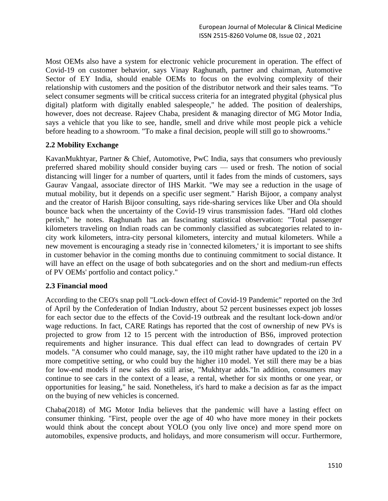Most OEMs also have a system for electronic vehicle procurement in operation. The effect of Covid-19 on customer behavior, says Vinay Raghunath, partner and chairman, Automotive Sector of EY India, should enable OEMs to focus on the evolving complexity of their relationship with customers and the position of the distributor network and their sales teams. "To select consumer segments will be critical success criteria for an integrated phygital (physical plus digital) platform with digitally enabled salespeople," he added. The position of dealerships, however, does not decrease. Rajeev Chaba, president & managing director of MG Motor India, says a vehicle that you like to see, handle, smell and drive while most people pick a vehicle before heading to a showroom. "To make a final decision, people will still go to showrooms."

## **2.2 Mobility Exchange**

KavanMukhtyar, Partner & Chief, Automotive, PwC India, says that consumers who previously preferred shared mobility should consider buying cars — used or fresh. The notion of social distancing will linger for a number of quarters, until it fades from the minds of customers, says Gaurav Vangaal, associate director of IHS Markit. "We may see a reduction in the usage of mutual mobility, but it depends on a specific user segment." Harish Bijoor, a company analyst and the creator of Harish Bijoor consulting, says ride-sharing services like Uber and Ola should bounce back when the uncertainty of the Covid-19 virus transmission fades. "Hard old clothes perish," he notes. Raghunath has an fascinating statistical observation: "Total passenger kilometers traveling on Indian roads can be commonly classified as subcategories related to incity work kilometers, intra-city personal kilometers, intercity and mutual kilometers. While a new movement is encouraging a steady rise in 'connected kilometers,' it is important to see shifts in customer behavior in the coming months due to continuing commitment to social distance. It will have an effect on the usage of both subcategories and on the short and medium-run effects of PV OEMs' portfolio and contact policy."

#### **2.3 Financial mood**

According to the CEO's snap poll "Lock-down effect of Covid-19 Pandemic" reported on the 3rd of April by the Confederation of Indian Industry, about 52 percent businesses expect job losses for each sector due to the effects of the Covid-19 outbreak and the resultant lock-down and/or wage reductions. In fact, CARE Ratings has reported that the cost of ownership of new PVs is projected to grow from 12 to 15 percent with the introduction of BS6, improved protection requirements and higher insurance. This dual effect can lead to downgrades of certain PV models. "A consumer who could manage, say, the i10 might rather have updated to the i20 in a more competitive setting, or who could buy the higher i10 model. Yet still there may be a bias for low-end models if new sales do still arise, "Mukhtyar adds."In addition, consumers may continue to see cars in the context of a lease, a rental, whether for six months or one year, or opportunities for leasing," he said. Nonetheless, it's hard to make a decision as far as the impact on the buying of new vehicles is concerned.

Chaba(2018) of MG Motor India believes that the pandemic will have a lasting effect on consumer thinking. "First, people over the age of 40 who have more money in their pockets would think about the concept about YOLO (you only live once) and more spend more on automobiles, expensive products, and holidays, and more consumerism will occur. Furthermore,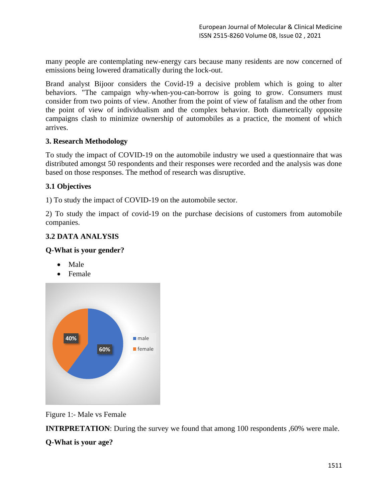many people are contemplating new-energy cars because many residents are now concerned of emissions being lowered dramatically during the lock-out.

Brand analyst Bijoor considers the Covid-19 a decisive problem which is going to alter behaviors. "The campaign why-when-you-can-borrow is going to grow. Consumers must consider from two points of view. Another from the point of view of fatalism and the other from the point of view of individualism and the complex behavior. Both diametrically opposite campaigns clash to minimize ownership of automobiles as a practice, the moment of which arrives.

## **3. Research Methodology**

To study the impact of COVID-19 on the automobile industry we used a questionnaire that was distributed amongst 50 respondents and their responses were recorded and the analysis was done based on those responses. The method of research was disruptive.

## **3.1 Objectives**

1) To study the impact of COVID-19 on the automobile sector.

2) To study the impact of covid-19 on the purchase decisions of customers from automobile companies.

# **3.2 DATA ANALYSIS**

#### **Q-What is your gender?**

- Male
- Female



Figure 1:- Male vs Female

**INTRPRETATION:** During the survey we found that among 100 respondents ,60% were male.

# **Q-What is your age?**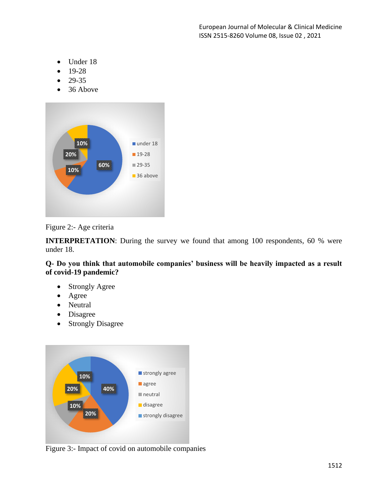- Under 18
- 19-28
- 29-35
- 36 Above



Figure 2:- Age criteria

**INTERPRETATION:** During the survey we found that among 100 respondents, 60 % were under 18.

**Q- Do you think that automobile companies' business will be heavily impacted as a result of covid-19 pandemic?**

- Strongly Agree
- Agree
- Neutral
- Disagree
- Strongly Disagree



Figure 3:- Impact of covid on automobile companies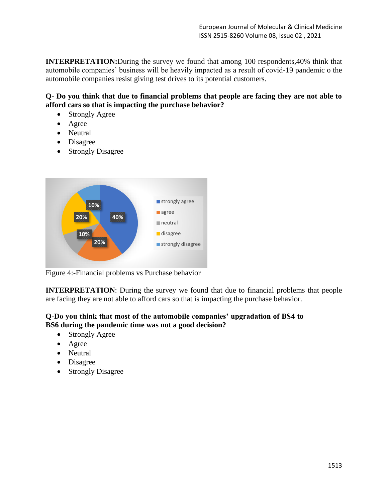**INTERPRETATION:**During the survey we found that among 100 respondents,40% think that automobile companies' business will be heavily impacted as a result of covid-19 pandemic o the automobile companies resist giving test drives to its potential customers.

# **Q- Do you think that due to financial problems that people are facing they are not able to afford cars so that is impacting the purchase behavior?**

- Strongly Agree
- Agree
- Neutral
- Disagree
- Strongly Disagree



Figure 4:-Financial problems vs Purchase behavior

**INTERPRETATION:** During the survey we found that due to financial problems that people are facing they are not able to afford cars so that is impacting the purchase behavior.

# **Q-Do you think that most of the automobile companies' upgradation of BS4 to BS6 during the pandemic time was not a good decision?**

- Strongly Agree
- Agree
- Neutral
- Disagree
- Strongly Disagree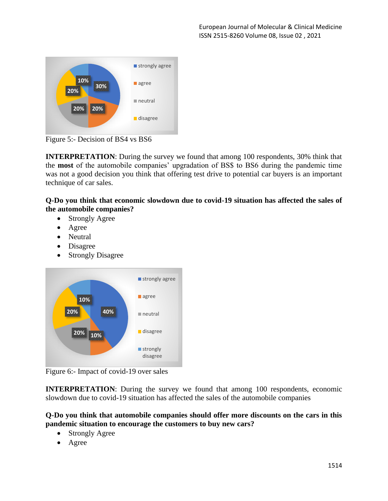

Figure 5:- Decision of BS4 vs BS6

**INTERPRETATION**: During the survey we found that among 100 respondents, 30% think that the **most** of the automobile companies' upgradation of BS\$ to BS6 during the pandemic time was not a good decision you think that offering test drive to potential car buyers is an important technique of car sales.

**Q-Do you think that economic slowdown due to covid-19 situation has affected the sales of the automobile companies?**

- Strongly Agree
- Agree
- Neutral
- Disagree
- Strongly Disagree



Figure 6:- Impact of covid-19 over sales

**INTERPRETATION:** During the survey we found that among 100 respondents, economic slowdown due to covid-19 situation has affected the sales of the automobile companies

**Q-Do you think that automobile companies should offer more discounts on the cars in this pandemic situation to encourage the customers to buy new cars?**

- **Strongly Agree**
- Agree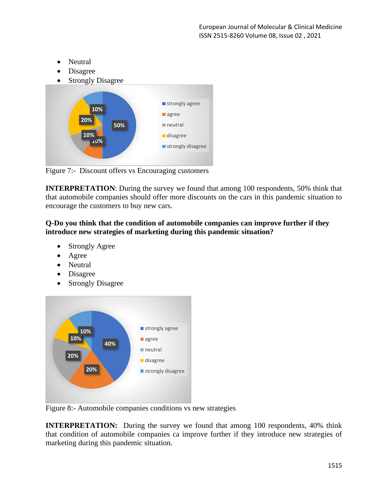- Neutral
- Disagree
- **Strongly Disagree**



Figure 7:- Discount offers vs Encouraging customers

**INTERPRETATION:** During the survey we found that among 100 respondents, 50% think that that automobile companies should offer more discounts on the cars in this pandemic situation to encourage the customers to buy new cars.

## **Q-Do you think that the condition of automobile companies can improve further if they introduce new strategies of marketing during this pandemic situation?**

- Strongly Agree
- Agree
- Neutral
- Disagree
- Strongly Disagree



Figure 8:- Automobile companies conditions vs new strategies

**INTERPRETATION:** During the survey we found that among 100 respondents, 40% think that condition of automobile companies ca improve further if they introduce new strategies of marketing during this pandemic situation.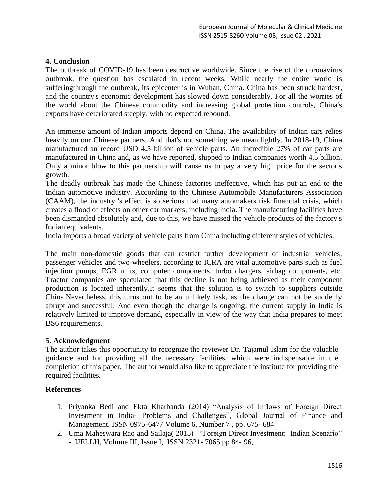## **4. Conclusion**

The outbreak of COVID-19 has been destructive worldwide. Since the rise of the coronavirus outbreak, the question has escalated in recent weeks. While nearly the entire world is sufferingthrough the outbreak, its epicenter is in Wuhan, China. China has been struck hardest, and the country's economic development has slowed down considerably. For all the worries of the world about the Chinese commodity and increasing global protection controls, China's exports have deteriorated steeply, with no expected rebound.

An immense amount of Indian imports depend on China. The availability of Indian cars relies heavily on our Chinese partners. And that's not something we mean lightly. In 2018-19, China manufactured an record USD 4.5 billion of vehicle parts. An incredible 27% of car parts are manufactured in China and, as we have reported, shipped to Indian companies worth 4.5 billion. Only a minor blow to this partnership will cause us to pay a very high price for the sector's growth.

The deadly outbreak has made the Chinese factories ineffective, which has put an end to the Indian automotive industry. According to the Chinese Automobile Manufacturers Association (CAAM), the industry 's effect is so serious that many automakers risk financial crisis, which creates a flood of effects on other car markets, including India. The manufacturing facilities have been dismantled absolutely and, due to this, we have missed the vehicle products of the factory's Indian equivalents.

India imports a broad variety of vehicle parts from China including different styles of vehicles.

The main non-domestic goods that can restrict further development of industrial vehicles, passenger vehicles and two-wheelers, according to ICRA are vital automotive parts such as fuel injection pumps, EGR units, computer components, turbo chargers, airbag components, etc. Tractor companies are speculated that this decline is not being achieved as their component production is located inherently.It seems that the solution is to switch to suppliers outside China.Nevertheless, this turns out to be an unlikely task, as the change can not be suddenly abrupt and successful. And even though the change is ongoing, the current supply in India is relatively limited to improve demand, especially in view of the way that India prepares to meet BS6 requirements.

#### **5. Acknowledgment**

The author takes this opportunity to recognize the reviewer Dr. Tajamul Islam for the valuable guidance and for providing all the necessary facilities, which were indispensable in the completion of this paper. The author would also like to appreciate the institute for providing the required facilities*.*

#### **References**

- 1. Priyanka Bedi and Ekta Kharbanda (2014)–"Analysis of Inflows of Foreign Direct Investment in India- Problems and Challenges", Global Journal of Finance and Management. ISSN 0975-6477 Volume 6, Number 7 , pp. 675- 684
- 2. Uma Maheswara Rao and Sailaja( 2015) –"Foreign Direct Investment: Indian Scenario" - IJELLH, Volume III, Issue I, ISSN 2321- 7065 pp 84- 96,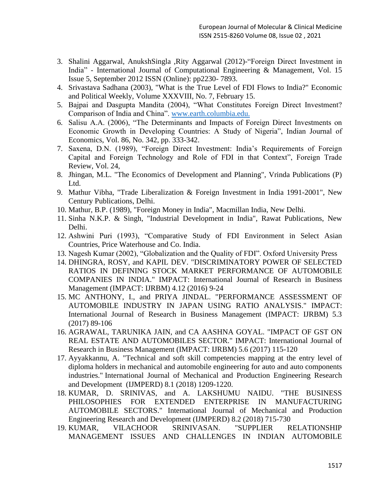- 3. Shalini Aggarwal, AnukshSingla ,Rity Aggarwal (2012)-"Foreign Direct Investment in India" - International Journal of Computational Engineering & Management, Vol. 15 Issue 5, September 2012 ISSN (Online): pp2230- 7893.
- 4. Srivastava Sadhana (2003), "What is the True Level of FDI Flows to India?" Economic and Political Weekly, Volume XXXVIII, No. 7, February 15.
- 5. Bajpai and Dasgupta Mandita (2004), "What Constitutes Foreign Direct Investment? Comparison of India and China". [www.earth.columbia.edu.](http://www.earth.columbia.edu/)
- 6. Salisu A.A. (2006), "The Determinants and Impacts of Foreign Direct Investments on Economic Growth in Developing Countries: A Study of Nigeria", Indian Journal of Economics, Vol. 86, No. 342, pp. 333-342.
- 7. Saxena, D.N. (1989), "Foreign Direct Investment: India's Requirements of Foreign Capital and Foreign Technology and Role of FDI in that Context", Foreign Trade Review, Vol. 24,
- 8. Jhingan, M.L. "The Economics of Development and Planning", Vrinda Publications (P) Ltd.
- 9. Mathur Vibha, "Trade Liberalization & Foreign Investment in India 1991-2001", New Century Publications, Delhi.
- 10. Mathur, B.P. (1989), "Foreign Money in India", Macmillan India, New Delhi.
- 11. Sinha N.K.P. & Singh, "Industrial Development in India", Rawat Publications, New Delhi.
- 12. Ashwini Puri (1993), "Comparative Study of FDI Environment in Select Asian Countries, Price Waterhouse and Co. India.
- 13. Nagesh Kumar (2002), "Globalization and the Quality of FDI". Oxford University Press
- 14. DHINGRA, ROSY, and KAPIL DEV. "DISCRIMINATORY POWER OF SELECTED RATIOS IN DEFINING STOCK MARKET PERFORMANCE OF AUTOMOBILE COMPANIES IN INDIA." IMPACT: International Journal of Research in Business Management (IMPACT: IJRBM) 4.12 (2016) 9-24
- 15. MC ANTHONY, I., and PRIYA JINDAL. "PERFORMANCE ASSESSMENT OF AUTOMOBILE INDUSTRY IN JAPAN USING RATIO ANALYSIS." IMPACT: International Journal of Research in Business Management (IMPACT: IJRBM) 5.3 (2017) 89-106
- 16. AGRAWAL, TARUNIKA JAIN, and CA AASHNA GOYAL. "IMPACT OF GST ON REAL ESTATE AND AUTOMOBILES SECTOR." IMPACT: International Journal of Research in Business Management (IMPACT: IJRBM) 5.6 (2017) 115-120
- 17. Ayyakkannu, A. "Technical and soft skill competencies mapping at the entry level of diploma holders in mechanical and automobile engineering for auto and auto components industries." International Journal of Mechanical and Production Engineering Research and Development (IJMPERD) 8.1 (2018) 1209-1220.
- 18. KUMAR, D. SRINIVAS, and A. LAKSHUMU NAIDU. "THE BUSINESS PHILOSOPHIES FOR EXTENDED ENTERPRISE IN MANUFACTURING AUTOMOBILE SECTORS." International Journal of Mechanical and Production Engineering Research and Development (IJMPERD) 8.2 (2018) 715-730
- 19. KUMAR, VILACHOOR SRINIVASAN. "SUPPLIER RELATIONSHIP MANAGEMENT ISSUES AND CHALLENGES IN INDIAN AUTOMOBILE